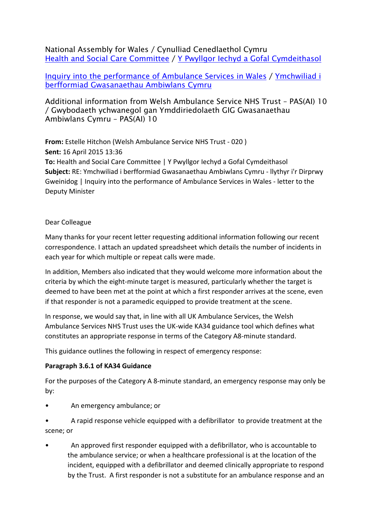National Assembly for Wales / Cynulliad Cenedlaethol Cymru Health and Social Care [Committee](http://www.senedd.assembly.wales/mgCommitteeDetails.aspx?ID=227) / Y Pwyllgor Iechyd a Gofal [Cymdeithasol](http://www.senedd.cynulliad.cymru/mgCommitteeDetails.aspx?ID=227)

Inquiry into the [performance](http://www.senedd.assembly.wales/mgIssueHistoryHome.aspx?IId=012206) of Ambulance Services in Wales / [Ymchwiliad](http://www.senedd.cynulliad.cymru/mgIssueHistoryHome.aspx?IId=012206) i berfformiad [Gwasanaethau](http://www.senedd.cynulliad.cymru/mgIssueHistoryHome.aspx?IId=012206) Ambiwlans Cymru

# Additional information from Welsh Ambulance Service NHS Trust – PAS(AI) 10 / Gwybodaeth ychwanegol gan Ymddiriedolaeth GIG Gwasanaethau Ambiwlans Cymru – PAS(AI) 10

**From:** Estelle Hitchon (Welsh Ambulance Service NHS Trust - 020 ) **Sent:** 16 April 2015 13:36 **To:** Health and Social Care Committee | Y Pwyllgor Iechyd a Gofal Cymdeithasol **Subject:** RE: Ymchwiliad i berfformiad Gwasanaethau Ambiwlans Cymru - llythyr i'r Dirprwy Gweinidog | Inquiry into the performance of Ambulance Services in Wales - letter to the Deputy Minister

## Dear Colleague

Many thanks for your recent letter requesting additional information following our recent correspondence. I attach an updated spreadsheet which details the number of incidents in each year for which multiple or repeat calls were made.

In addition, Members also indicated that they would welcome more information about the criteria by which the eight-minute target is measured, particularly whether the target is deemed to have been met at the point at which a first responder arrives at the scene, even if that responder is not a paramedic equipped to provide treatment at the scene.

In response, we would say that, in line with all UK Ambulance Services, the Welsh Ambulance Services NHS Trust uses the UK-wide KA34 guidance tool which defines what constitutes an appropriate response in terms of the Category A8-minute standard.

This guidance outlines the following in respect of emergency response:

# **Paragraph 3.6.1 of KA34 Guidance**

For the purposes of the Category A 8-minute standard, an emergency response may only be by:

- An emergency ambulance; or
- A rapid response vehicle equipped with a defibrillator to provide treatment at the scene; or
- An approved first responder equipped with a defibrillator, who is accountable to the ambulance service; or when a healthcare professional is at the location of the incident, equipped with a defibrillator and deemed clinically appropriate to respond by the Trust. A first responder is not a substitute for an ambulance response and an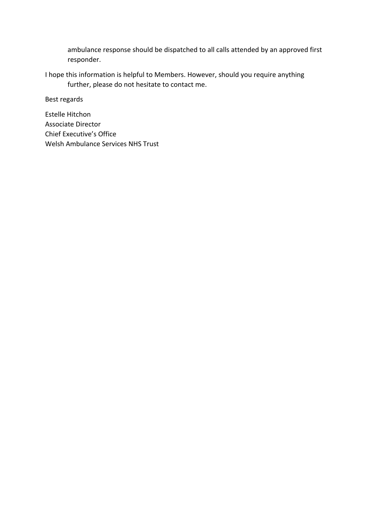ambulance response should be dispatched to all calls attended by an approved first responder.

I hope this information is helpful to Members. However, should you require anything further, please do not hesitate to contact me.

Best regards

Estelle Hitchon Associate Director Chief Executive's Office Welsh Ambulance Services NHS Trust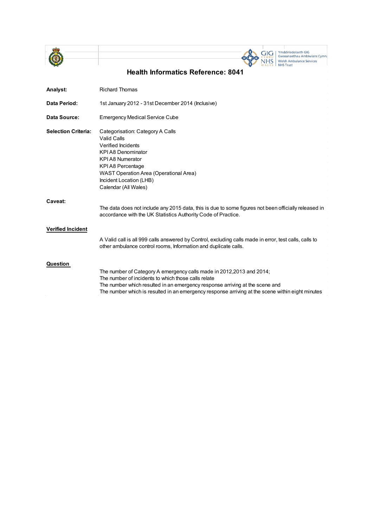



| Analyst:                   | <b>Richard Thomas</b>                                                                                                                                                                                                                                                                                            |
|----------------------------|------------------------------------------------------------------------------------------------------------------------------------------------------------------------------------------------------------------------------------------------------------------------------------------------------------------|
| Data Period:               | 1st January 2012 - 31st December 2014 (Inclusive)                                                                                                                                                                                                                                                                |
| Data Source:               | <b>Emergency Medical Service Cube</b>                                                                                                                                                                                                                                                                            |
| <b>Selection Criteria:</b> | Categorisation: Category A Calls<br>Valid Calls<br>Verified Incidents<br><b>KPIA8 Denominator</b><br><b>KPIA8 Numerator</b><br>KPI A8 Percentage<br>WAST Operation Area (Operational Area)<br>Incident Location (LHB)<br>Calendar (All Wales)                                                                    |
| Caveat:                    | The data does not include any 2015 data, this is due to some figures not been officially released in<br>accordance with the UK Statistics Authority Code of Practice.                                                                                                                                            |
| <b>Verified Incident</b>   | A Valid call is all 999 calls answered by Control, excluding calls made in error, test calls, calls to<br>other ambulance control rooms, Information and duplicate calls.                                                                                                                                        |
| Question                   | The number of Category A emergency calls made in 2012, 2013 and 2014;<br>The number of incidents to which those calls relate<br>The number which resulted in an emergency response arriving at the scene and<br>The number which is resulted in an emergency response arriving at the scene within eight minutes |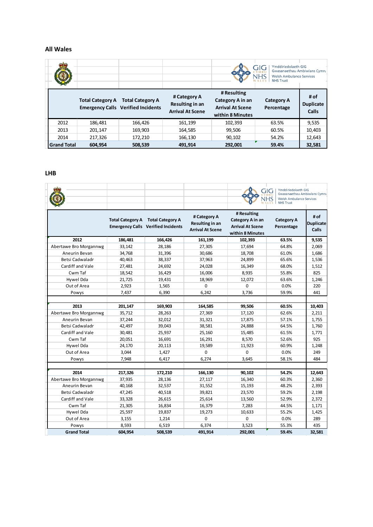#### **All Wales**

|                    |                         |                                                                      |                                                            |                                                                                | Ymddiriedolaeth GIG<br>GIG<br>Gwasanaethau Ambiwlans Cymru<br><b>Welsh Ambulance Services</b><br><b>NHS Trust</b> |                                   |
|--------------------|-------------------------|----------------------------------------------------------------------|------------------------------------------------------------|--------------------------------------------------------------------------------|-------------------------------------------------------------------------------------------------------------------|-----------------------------------|
|                    | <b>Total Category A</b> | <b>Total Category A</b><br><b>Emergency Calls Verified Incidents</b> | # Category A<br>Resulting in an<br><b>Arrival At Scene</b> | # Resulting<br>Category A in an<br><b>Arrival At Scene</b><br>within 8 Minutes | <b>Category A</b><br>Percentage                                                                                   | # of<br><b>Duplicate</b><br>Calls |
| 2012               | 186,481                 | 166,426                                                              | 161,199                                                    | 102,393                                                                        | 63.5%                                                                                                             | 9,535                             |
| 2013               | 201,147                 | 169,903                                                              | 164,585                                                    | 99,506                                                                         | 60.5%                                                                                                             | 10,403                            |
| 2014               | 217,326                 | 172,210                                                              | 166,130                                                    | 90,102                                                                         | 54.2%                                                                                                             | 12,643                            |
| <b>Grand Total</b> | 604.954                 | 508,539                                                              | 491,914                                                    | 292,001                                                                        | 59.4%                                                                                                             | 32,581                            |

### **LHB**

 $\sim$ 

|                        |         |                                                                                |                                                            |                                                                                | Ymddiriedolaeth GIG<br>GIG<br>Gwasanaethau Ambiwlans Cymru<br><b>Welsh Ambulance Services</b><br><b>NHS Trust</b> |                                          |
|------------------------|---------|--------------------------------------------------------------------------------|------------------------------------------------------------|--------------------------------------------------------------------------------|-------------------------------------------------------------------------------------------------------------------|------------------------------------------|
|                        |         | Total Category A Total Category A<br><b>Emergency Calls</b> Verified Incidents | # Category A<br>Resulting in an<br><b>Arrival At Scene</b> | # Resulting<br>Category A in an<br><b>Arrival At Scene</b><br>within 8 Minutes | <b>Category A</b><br>Percentage                                                                                   | # of<br><b>Duplicate</b><br><b>Calls</b> |
| 2012                   | 186,481 | 166,426                                                                        | 161,199                                                    | 102,393                                                                        | 63.5%                                                                                                             | 9,535                                    |
| Abertawe Bro Morgannwg | 33,142  | 28,186                                                                         | 27,305                                                     | 17,694                                                                         | 64.8%                                                                                                             | 2,069                                    |
| Aneurin Bevan          | 34,768  | 31,396                                                                         | 30,686                                                     | 18,708                                                                         | 61.0%                                                                                                             | 1,686                                    |
| Betsi Cadwaladr        | 40,463  | 38,337                                                                         | 37,963                                                     | 24,899                                                                         | 65.6%                                                                                                             | 1,536                                    |
| Cardiff and Vale       | 27,481  | 24,692                                                                         | 24,028                                                     | 16,349                                                                         | 68.0%                                                                                                             | 1,512                                    |
| Cwm Taf                | 18,542  | 16,429                                                                         | 16,006                                                     | 8,935                                                                          | 55.8%                                                                                                             | 825                                      |
| Hywel Dda              | 21,725  | 19,431                                                                         | 18,969                                                     | 12,072                                                                         | 63.6%                                                                                                             | 1,246                                    |
| Out of Area            | 2,923   | 1,565                                                                          | $\mathbf 0$                                                | 0                                                                              | 0.0%                                                                                                              | 220                                      |
| Powys                  | 7,437   | 6,390                                                                          | 6,242                                                      | 3,736                                                                          | 59.9%                                                                                                             | 441                                      |
|                        |         |                                                                                |                                                            |                                                                                |                                                                                                                   |                                          |
| 2013                   | 201,147 | 169,903                                                                        | 164,585                                                    | 99,506                                                                         | 60.5%                                                                                                             | 10,403                                   |
| Abertawe Bro Morgannwg | 35,712  | 28,263                                                                         | 27,369                                                     | 17,120                                                                         | 62.6%                                                                                                             | 2,211                                    |
| Aneurin Bevan          | 37,244  | 32,012                                                                         | 31,321                                                     | 17,875                                                                         | 57.1%                                                                                                             | 1,755                                    |
| Betsi Cadwaladr        | 42,497  | 39,043                                                                         | 38,581                                                     | 24,888                                                                         | 64.5%                                                                                                             | 1,760                                    |
| Cardiff and Vale       | 30,481  | 25,937                                                                         | 25,160                                                     | 15,485                                                                         | 61.5%                                                                                                             | 1,771                                    |
| Cwm Taf                | 20,051  | 16,691                                                                         | 16,291                                                     | 8,570                                                                          | 52.6%                                                                                                             | 925                                      |
| Hywel Dda              | 24,170  | 20,113                                                                         | 19,589                                                     | 11,923                                                                         | 60.9%                                                                                                             | 1,248                                    |
| Out of Area            | 3,044   | 1,427                                                                          | $\mathbf 0$                                                | $\Omega$                                                                       | 0.0%                                                                                                              | 249                                      |
| Powys                  | 7,948   | 6,417                                                                          | 6,274                                                      | 3,645                                                                          | 58.1%                                                                                                             | 484                                      |
|                        |         |                                                                                |                                                            |                                                                                |                                                                                                                   |                                          |
| 2014                   | 217,326 | 172,210                                                                        | 166,130                                                    | 90,102                                                                         | 54.2%                                                                                                             | 12,643                                   |
| Abertawe Bro Morgannwg | 37,935  | 28,136                                                                         | 27,117                                                     | 16,340                                                                         | 60.3%                                                                                                             | 2,360                                    |
| Aneurin Bevan          | 40,168  | 32,537                                                                         | 31,552                                                     | 15,193                                                                         | 48.2%                                                                                                             | 2,393                                    |
| Betsi Cadwaladr        | 47,245  | 40,518                                                                         | 39,821                                                     | 23,570                                                                         | 59.2%                                                                                                             | 2,198                                    |
| Cardiff and Vale       | 33,328  | 26,615                                                                         | 25,614                                                     | 13,560                                                                         | 52.9%                                                                                                             | 2,372                                    |
| Cwm Taf                | 21,305  | 16,834                                                                         | 16,379                                                     | 7,283                                                                          | 44.5%                                                                                                             | 1,171                                    |
| Hywel Dda              | 25,597  | 19,837                                                                         | 19,273                                                     | 10,633                                                                         | 55.2%                                                                                                             | 1,425                                    |
| Out of Area            | 3,155   | 1,214                                                                          | $\mathbf 0$                                                | 0                                                                              | 0.0%                                                                                                              | 289                                      |
| Powys                  | 8,593   | 6,519                                                                          | 6,374                                                      | 3,523                                                                          | 55.3%                                                                                                             | 435                                      |
| <b>Grand Total</b>     | 604,954 | 508,539                                                                        | 491,914                                                    | 292,001                                                                        | 59.4%                                                                                                             | 32,581                                   |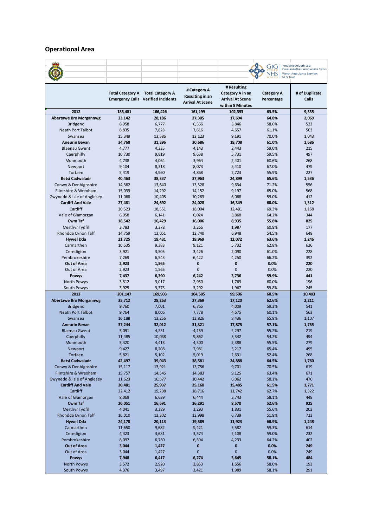## **Operational Area**

|                                     |                         |                                           |                         |                         | GIG               | Ymddiriedolaeth GIG<br>Gwasanaethau Ambiwlans Cymru |
|-------------------------------------|-------------------------|-------------------------------------------|-------------------------|-------------------------|-------------------|-----------------------------------------------------|
|                                     |                         |                                           |                         |                         | <b>NHS</b>        | <b>Welsh Ambulance Services</b>                     |
|                                     |                         |                                           |                         |                         | <b>NHS Trust</b>  |                                                     |
|                                     |                         |                                           |                         | # Resulting             |                   |                                                     |
|                                     | <b>Total Category A</b> | <b>Total Category A</b>                   | # Category A            | Category A in an        | <b>Category A</b> | # of Duplicate                                      |
|                                     |                         | <b>Emergency Calls Verified Incidents</b> | Resulting in an         | <b>Arrival At Scene</b> | Percentage        | Calls                                               |
|                                     |                         |                                           | <b>Arrival At Scene</b> | within 8 Minutes        |                   |                                                     |
| 2012                                | 186,481                 | 166,426                                   | 161,199                 | 102,393                 | 63.5%             | 9,535                                               |
| <b>Abertawe Bro Morgannwg</b>       | 33,142                  | 28,186                                    | 27,305                  | 17,694                  | 64.8%             | 2,069                                               |
| Bridgend                            | 8,958                   | 6,777                                     | 6,566                   | 3,846                   | 58.6%             | 523                                                 |
| <b>Neath Port Talbot</b>            | 8,835                   | 7,823                                     | 7,616                   | 4,657                   | 61.1%             | 503                                                 |
| Swansea                             | 15,349                  | 13,586                                    | 13,123                  | 9,191                   | 70.0%             | 1,043                                               |
| <b>Aneurin Bevan</b>                | 34,768                  | 31,396                                    | 30,686                  | 18,708                  | 61.0%             | 1,686                                               |
| <b>Blaenau Gwent</b>                | 4,777                   | 4,235                                     | 4,143                   | 2,443                   | 59.0%             | 215                                                 |
| Caerphilly                          | 10,730                  | 9,819                                     | 9,638                   | 5,731                   | 59.5%             | 497                                                 |
| Monmouth                            | 4,738                   | 4,064                                     | 3,964                   | 2,401                   | 60.6%             | 268                                                 |
| Newport                             | 9,104                   | 8,318                                     | 8,073                   | 5,410                   | 67.0%             | 479                                                 |
| Torfaen                             | 5,419                   | 4,960                                     | 4,868                   | 2,723                   | 55.9%             | 227                                                 |
| <b>Betsi Cadwaladr</b>              | 40,463                  | 38,337                                    | 37,963                  | 24,899                  | 65.6%             | 1,536                                               |
| Conwy & Denbighshire                | 14,362                  | 13,640                                    | 13,528                  | 9,634                   | 71.2%             | 556                                                 |
| Flintshire & Wrexham                | 15,033                  | 14,292                                    | 14,152                  | 9,197                   | 65.0%             | 568                                                 |
| Gwynedd & Isle of Anglesey          | 11,068                  | 10,405                                    | 10,283                  | 6,068                   | 59.0%             | 412                                                 |
| <b>Cardiff And Vale</b>             | 27,481                  | 24,692                                    | 24,028                  | 16,349                  | 68.0%             | 1,512                                               |
| Cardiff                             | 20,523                  | 18,551                                    | 18,004                  | 12,481                  | 69.3%             | 1,168                                               |
| Vale of Glamorgan                   | 6,958                   | 6,141                                     | 6,024                   | 3,868                   | 64.2%             | 344                                                 |
| Cwm Taf                             | 18,542                  | 16,429                                    | 16,006                  | 8,935                   | 55.8%             | 825                                                 |
| Merthyr Tydfil                      | 3,783                   | 3,378                                     | 3,266                   | 1,987                   | 60.8%             | 177                                                 |
| Rhondda Cynon Taff                  | 14,759                  | 13,051                                    | 12,740                  | 6,948                   | 54.5%             | 648                                                 |
| <b>Hywel Dda</b><br>Carmarthen      | 21,725<br>10,535        | 19,431<br>9,383                           | 18,969<br>9,121         | 12,072<br>5,732         | 63.6%<br>62.8%    | 1,246<br>626                                        |
| Ceredigion                          | 3,921                   | 3,505                                     | 3,426                   | 2,090                   | 61.0%             | 228                                                 |
| Pembrokeshire                       | 7,269                   | 6,543                                     | 6,422                   | 4,250                   | 66.2%             | 392                                                 |
| <b>Out of Area</b>                  | 2,923                   | 1,565                                     | 0                       | 0                       | 0.0%              | 220                                                 |
| Out of Area                         | 2,923                   | 1,565                                     | $\pmb{0}$               | $\mathbf{0}$            | 0.0%              | 220                                                 |
| <b>Powys</b>                        | 7,437                   | 6,390                                     | 6,242                   | 3,736                   | 59.9%             | 441                                                 |
| North Powys                         | 3,512                   | 3,017                                     | 2,950                   | 1,769                   | 60.0%             | 196                                                 |
| South Powys                         | 3,925                   | 3,373                                     | 3,292                   | 1,967                   | 59.8%             | 245                                                 |
| 2013                                | 201,147                 | 169,903                                   | 164,585                 | 99,506                  | 60.5%             | 10,403                                              |
| <b>Abertawe Bro Morgannwg</b>       | 35,712                  | 28,263                                    | 27,369                  | 17,120                  | 62.6%             | 2,211                                               |
| <b>Bridgend</b>                     | 9,760                   | 7,001                                     | 6,765                   | 4,009                   | 59.3%             | 541                                                 |
| <b>Neath Port Talbot</b>            | 9,764                   | 8,006                                     | 7,778                   | 4,675                   | 60.1%             | 563                                                 |
| Swansea                             | 16,188                  | 13,256                                    | 12,826                  | 8,436                   | 65.8%             | 1,107                                               |
| <b>Aneurin Bevan</b>                | 37,244                  | 32,012                                    | 31,321                  | 17,875                  | 57.1%             | 1,755                                               |
| <b>Blaenau Gwent</b>                | 5,091                   | 4,251                                     | 4,159                   | 2,297                   | 55.2%             | 219                                                 |
| Caerphilly                          | 11,485                  | 10,038                                    | 9,862                   | 5,342                   | 54.2%             | 494                                                 |
| Monmouth                            | 5,420                   | 4,413                                     | 4,300                   | 2,388                   | 55.5%             | 279                                                 |
| Newport                             | 9,427                   | 8,208                                     | 7,981                   | 5,217                   | 65.4%             | 495                                                 |
| Torfaen                             | 5,821                   | 5,102                                     | 5,019                   | 2,631                   | 52.4%             | 268                                                 |
| <b>Betsi Cadwaladr</b>              | 42,497                  | 39,043                                    | 38,581                  | 24,888                  | 64.5%             | 1,760                                               |
| Conwy & Denbighshire                | 15,117                  | 13,921                                    | 13,756                  | 9,701                   | 70.5%             | 619                                                 |
| Flintshire & Wrexham                | 15,757                  | 14,545                                    | 14,383                  | 9,125                   | 63.4%             | 671                                                 |
| Gwynedd & Isle of Anglesey          | 11,623                  | 10,577                                    | 10,442                  | 6,062                   | 58.1%             | 470                                                 |
| <b>Cardiff And Vale</b>             | 30,481                  | 25,937                                    | 25,160                  | 15,485                  | 61.5%             | 1,771                                               |
| Cardiff                             | 22,412                  | 19,298                                    | 18,716                  | 11,742                  | 62.7%             | 1,322                                               |
| Vale of Glamorgan<br><b>Cwm Taf</b> | 8,069                   | 6,639                                     | 6,444                   | 3,743                   | 58.1%<br>52.6%    | 449<br>925                                          |
| Merthyr Tydfil                      | 20,051<br>4,041         | 16,691<br>3,389                           | 16,291<br>3,293         | 8,570<br>1,831          | 55.6%             | 202                                                 |
| Rhondda Cynon Taff                  | 16,010                  | 13,302                                    | 12,998                  | 6,739                   | 51.8%             | 723                                                 |
| <b>Hywel Dda</b>                    | 24,170                  | 20,113                                    | 19,589                  | 11,923                  | 60.9%             | 1,248                                               |
| Carmarthen                          | 11,650                  | 9,682                                     | 9,421                   | 5,582                   | 59.3%             | 614                                                 |
| Ceredigion                          | 4,423                   | 3,681                                     | 3,574                   | 2,108                   | 59.0%             | 232                                                 |
| Pembrokeshire                       | 8,097                   | 6,750                                     | 6,594                   | 4,233                   | 64.2%             | 402                                                 |
| <b>Out of Area</b>                  | 3,044                   | 1,427                                     | 0                       | 0                       | 0.0%              | 249                                                 |
| Out of Area                         | 3,044                   | 1,427                                     | 0                       | 0                       | 0.0%              | 249                                                 |
| <b>Powys</b>                        | 7,948                   | 6,417                                     | 6,274                   | 3,645                   | 58.1%             | 484                                                 |
| North Powys                         | 3,572                   | 2,920                                     | 2,853                   | 1,656                   | 58.0%             | 193                                                 |
| South Powys                         | 4,376                   | 3,497                                     | 3,421                   | 1,989                   | 58.1%             | 291                                                 |